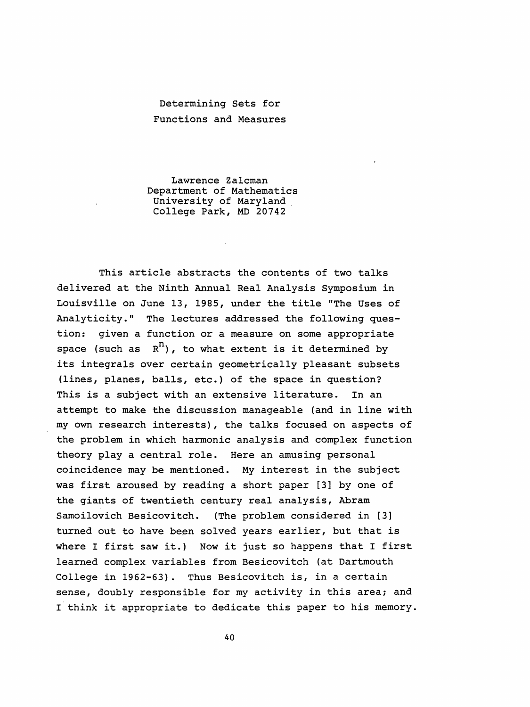## Determining Sets for Functions and Measures

 Lawrence Zalcman Department of Mathematics University of Maryland College Park, MD 20742

 This article abstracts the contents of two talks delivered at the Ninth Annual Real Analysis Symposium in Louisville on June 13, 1985, under the title "The Uses of Analyticity." The lectures addressed the following ques tion: given a function or a measure on some appropriate space (such as  $R^{n}$ ), to what extent is it determined by its integrals over certain geometrically pleasant subsets (lines, planes, balls, etc.) of the space in question? This is a subject with an extensive literature. In an attempt to make the discussion manageable (and in line with my own research interests) , the talks focused on aspects of the problem in which harmonic analysis and complex function theory play a central role. Here an amusing personal coincidence may be mentioned. My interest in the subject was first aroused by reading a short paper [3] by one of the giants of twentieth century real analysis, Abram Samoilovich Besicovitch. (The problem considered in [3] turned out to have been solved years earlier, but that is where I first saw it.) Now it just so happens that I first learned complex variables from Besicovitch (at Dartmouth College in 1962-63) . Thus Besicovitch is, in a certain sense, doubly responsible for my activity in this area; and I think it appropriate to dedicate this paper to his memory.

40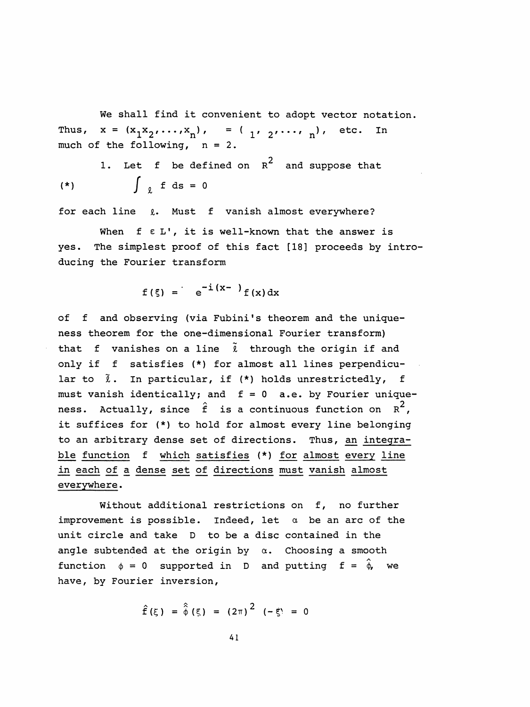We shall find it convenient to adopt vector notation. Thus,  $x = (x_1 x_2', \dots, x_n)$ ,  $= (y_1, y_2', \dots, y_n')$ , etc. In much of the following, n = 2.

1. Let  $f$  be defined on  $R^2$  and suppose that (\*)  $\int_{\ell}^{x} f ds = 0$ 

for each line  $\ell$ . Must f vanish almost everywhere?

When  $f \in L'$ , it is well-known that the answer is yes. The simplest proof of this fact [18] proceeds by intro ducing the Fourier transform

 $f(\xi) = \int e^{-i(x-\xi)} f(x) dx$ 

 of f and observing (via Fubini's theorem and the unique ness theorem for the one-dimensional Fourier transform) that f vanishes on a line  $\tilde{\ell}$  through the origin if and only if f satisfies (\*) for almost all lines perpendicu lar to  $\tilde{\ell}$ . In particular, if (\*) holds unrestrictedly, f must vanish identically; and  $f = 0$  a.e. by Fourier uniqueness. Actually, since  $\hat{f}$  is a continuous function on  $R^2$ , it suffices for (\*) to hold for almost every line belonging to an arbitrary dense set of directions. Thus, an integra ble function f which satisfies (\*) for almost every line in each of a dense set of directions must vanish almost everywhere .

Without additional restrictions on f, no further improvement is possible. Indeed, let  $\alpha$  be an arc of the unit circle and take D to be a disc contained in the angle subtended at the origin by  $\alpha$ . Choosing a smooth function  $\phi = 0$  supported in D and putting  $\mathbf{f} = \hat{\phi}$ , we have, by Fourier inversion,

$$
\hat{f}(\xi) = \hat{\phi}(\xi) = (2\pi)^2 (-\xi) = 0
$$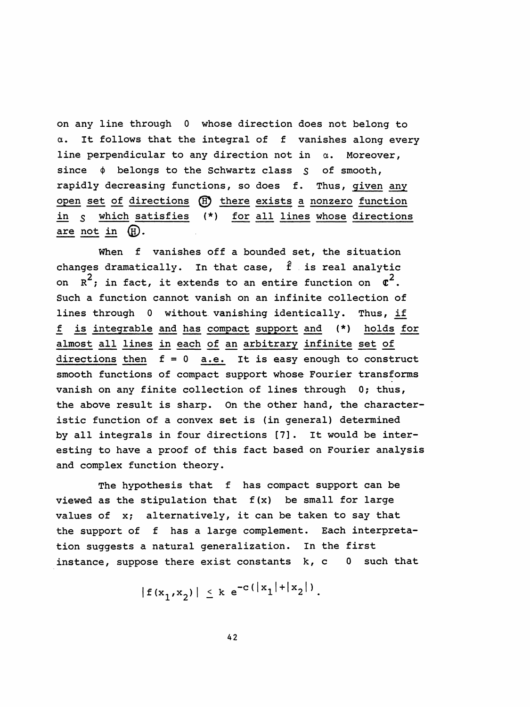on any line through 0 whose direction does not belong to a. It follows that the integral of f vanishes along every line perpendicular to any direction not in  $\alpha$ . Moreover, since  $\phi$  belongs to the Schwartz class  $S$  of smooth, rapidly decreasing functions, so does f. Thus, given any open set of directions (H) there exists a nonzero function in 5 which satisfies (\*) for all lines whose directions are not in  $(H)$ . perpendicular to any direction not in  $\alpha$ . Moreover<br>  $\phi$  belongs to the Schwartz class  $S$  of smooth,<br>
ly decreasing functions, so does f. Thus, given a<br>
set of directions (E) there exists a nonzero function<br>
which sati

When f vanishes off a bounded set, the situation on  $R^2$ ; in fact, it extends to an entire function on  $\sigma^2$ . changes dramatically. In that case,  $\hat{f}$  is real analytic Such a function cannot vanish on an infinite collection of lines through 0 without vanishing identically. Thus, if f is integrable and has compact support and (\*) holds for almost all lines in each of an arbitrary infinite set of directions then  $f = 0$  a.e. It is easy enough to construct smooth functions of compact support whose Fourier transforms vanish on any finite collection of lines through 0; thus, the above result is sharp. On the other hand, the character istic function of a convex set is (in general) determined by all integrals in four directions [7] . It would be inter esting to have a proof of this fact based on Fourier analysis and complex function theory.

The hypothesis that f has compact support can be viewed as the stipulation that  $f(x)$  be small for large values of x; alternatively, it can be taken to say that the support of f has a large complement. Each interpreta tion suggests a natural generalization. In the first instance, suppose there exist constants k, c 0 such that

 $|f(x_1,x_2)| \le k e^{-c(|x_1| + |x_2|)}.$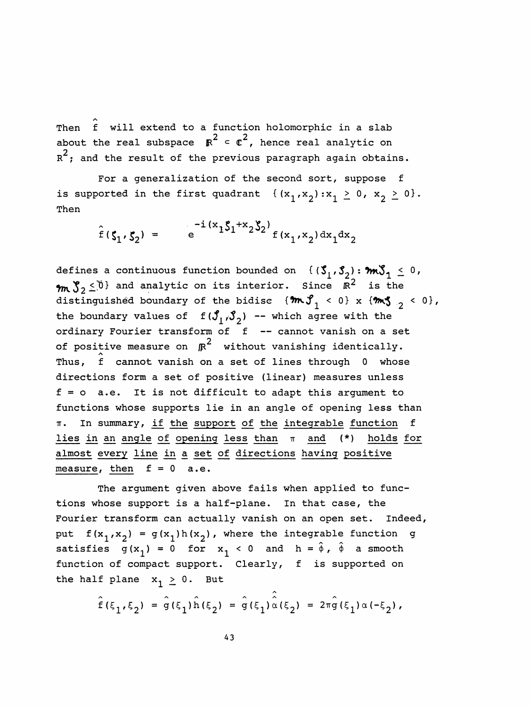Then  $\hat{f}$  will extend to a function holomorphic in a slab Then I will extend to a function nolomorphic in a slab<br>about the real subspace  $R^2 < C^2$ , hence real analytic on  $R^2$ ; and the result of the previous paragraph again obtains.

 For a generalization of the second sort, suppose f is supported in the first quadrant  $\{(x_1,x_2):x_1 \geq 0, x_2 \geq 0\}.$ Then

> $f(\zeta, \zeta) = e^{-i(x_1 \zeta_1 + x_2 \zeta_2)}$ = e  $e^{-(x_1^2 - 2x_1^2 + 2x_2^2)} f(x_1, x_2) dx_1 dx_2$

defines a continuous function bounded on  $\{(\mathcal{S}_1, \mathcal{S}_2): \mathcal{M}\} \leq 0$ ,  $2\leq0$  and analytic on its interior. Since  $\mathbb{R}^{2}$  is the distinguished boundary of the bidisc  $\{\mathfrak{m}\mathfrak{J}_1 < 0\} \times \{\mathfrak{m}\mathfrak{J}_2 < 0\}$ , the boundary values of  $f(\mathcal{S}_1, \mathcal{S}_2)$  -- which agree with the ordinary Fourier transform of f -- cannot vanish on a set of positive measure on  $\kappa^2$  without vanishing identically. Thus,  $\hat{f}$  cannot vanish on a set of lines through 0 whose directions form a set of positive (linear) measures unless  $f = o$  a.e. It is not difficult to adapt this argument to functions whose supports lie in an angle of opening less than  $\pi$ . In summary, if the support of the integrable function f lies in an angle of opening less than  $\pi$  and (\*) holds for almost every line in a set of directions having positive measure, then  $f = 0$  a.e.

 The argument given above fails when applied to func tions whose support is a half-plane. In that case, the Fourier transform can actually vanish on an open set. Indeed, put  $f(x_1,x_2) = g(x_1)h(x_2)$ , where the integrable function g satisfies  $g(x^1) = 0$  for  $x^1 < 0$  and  $h = \hat{\phi}$ ,  $\hat{\phi}$  a smooth function of compact support. Clearly, f is supported on the half plane  $x_1 \geq 0$ . But

> A  $f(\xi_1,\xi_2) = g(\xi_1)h(\xi_2) = g(\xi_1)\alpha(\xi_2) = 2\pi g(\xi_1)\alpha (-\xi_2)$  ,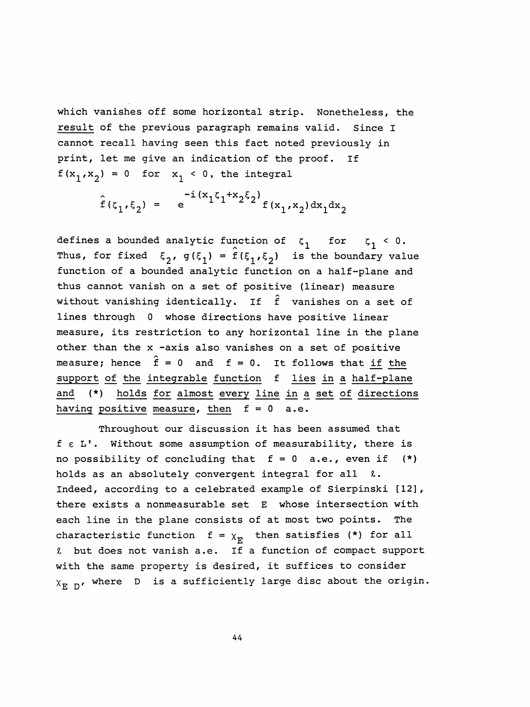which vanishes off some horizontal strip. Nonetheless, the result of the previous paragraph remains valid. Since I cannot recall having seen this fact noted previously in print, let me give an indication of the proof. If  $f(x_1, x_2) = 0$  for  $x_1 < 0$ , the integral

> $\left[1\right]_{1}\left(x_{1}\right)_{1}+x_{2}\left(x_{2}\right)_{5}$  $f(\zeta_1,\zeta_2) = e^{(-1)^2 + 2^2} f(x_1,x_2) dx_1 dx_2$

defines a bounded analytic function of  $\zeta_1$  for  $\zeta_1 < 0$ . nction of  $\xi_1$  for  $\xi_1$ <br> $\hat{f}(\xi_1,\xi_2)$  is the boundar  $T(x_1, x_2) = 0$  for  $x_1 < 0$ , the integral<br>  $\hat{f}(\zeta_1, \zeta_2) = e^{-i(x_1\zeta_1 + x_2\zeta_2)} f(x_1, x_2) dx_1 dx_2$ <br>
defines a bounded analytic function of  $\zeta_1$  for  $\zeta_1 < 0$ .<br>
Thus, for fixed  $\xi_2$ ,  $g(\xi_1) = \hat{f}(\xi_1, \xi_2)$  is the function of a bounded analytic function on a half-plane and thus cannot vanish on a set of positive (linear) measure without vanishing identically. If  $\hat{\mathbf{f}}$  vanishes on a set of lines through 0 whose directions have positive linear measure, its restriction to any horizontal line in the plane other than the x -axis also vanishes on a set of positive measure; hence  $\hat{f}$  = 0 and f = 0. It follows that <u>if the</u> support of the integrable function f lies in a half-plane and (\*) holds for almost every line in a set of directions having positive measure, then  $f = 0$  a.e.

 Throughout our discussion it has been assumed that  $f \epsilon L'$ . Without some assumption of measurability, there is no possibility of concluding that  $f = 0$  a.e., even if  $(*)$ holds as an absolutely convergent integral for all  $\ell$ . Indeed, according to a celebrated example of Sierpinski [12], there exists a nonmeasurable set E whose intersection with each line in the plane consists of at most two points. The characteristic function  $f = \chi_{\overline{R}}$  then satisfies (\*) for all I but does not vanish a.e. If a function of compact support with the same property is desired, it suffices to consider  $X_{F, D}$ , where D is a sufficiently large disc about the origin.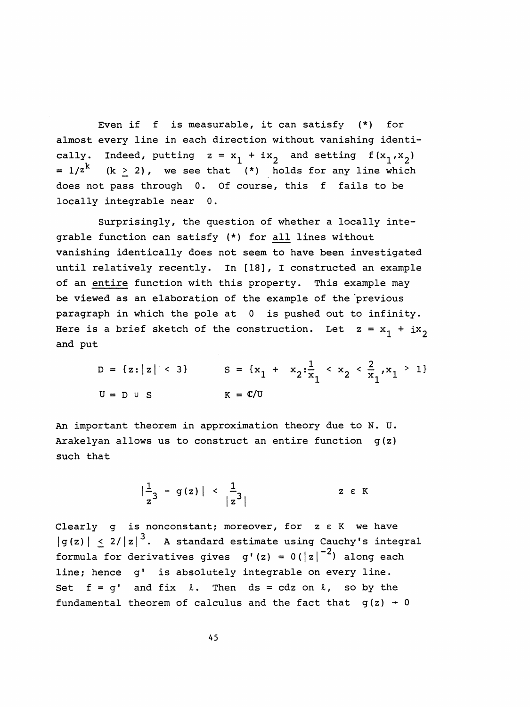Even if f is measurable, it can satisfy (\*) for almost every line in each direction without vanishing identi cally. Indeed, putting  $z = x_1 + ix_2$  and setting  $f(x_1,x_2)$ =  $1/z^k$  (k  $\geq$  2), we see that (\*) holds for any line which does not pass through 0. Of course, this f fails to be locally integrable near 0.

 Surprisingly, the question of whether a locally inte grable function can satisfy (\*) for all lines without vanishing identically does not seem to have been investigated until relatively recently. In [18], I constructed an example of an entire function with this property. This example may be viewed as an elaboration of the example of the previous paragraph in which the pole at 0 is pushed out to infinity. Here is a brief sketch of the construction. Let  $z = x_1 + ix_2$ and put

 D = { z : I z I < 3} S = {xŁ + \*2:x < X2 < x /X1 > ^ U = D u S K = C/U

 An important theorem in approximation theory due to N. U. Arakelyan allows us to construct an entire function g (z) such that

$$
\left|\frac{1}{z^3} - g(z)\right| < \left|\frac{1}{z^3}\right| \qquad \qquad z \in K
$$

Clearly g is nonconstant; moreover, for z  $\varepsilon$  K we have  $|g(z)| \leq 2/|z|^3$ . A standard estimate using Cauchy's integral formula for derivatives gives g'(z) =  $0(|z|^{-2})$  along each line; hence g' is absolutely integrable on every line. Set  $f = q'$  and fix  $l$ . Then  $ds = cdz$  on  $l$ , so by the fundamental theorem of calculus and the fact that  $g(z) \rightarrow 0$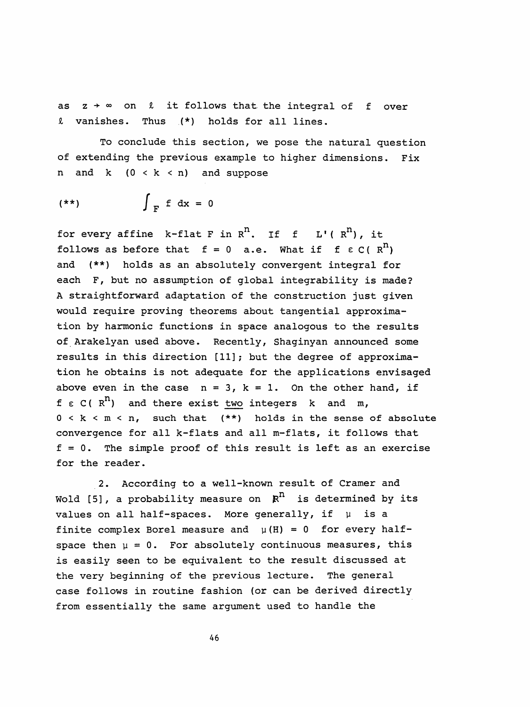as  $z \rightarrow \infty$  on  $\ell$  it follows that the integral of f over i vanishes. Thus (\*) holds for all lines.

 To conclude this section, we pose the natural question of extending the previous example to higher dimensions. Fix n and  $k$   $(0 < k < n)$  and suppose

$$
(**) \qquad \qquad \int_{F} f \, dx = 0
$$

for every affine k-flat F in  $R^n$ . If f L'( $R^n$ ), it follows as before that  $f = 0$  a.e. What if  $f \in C(R^n)$  and (\*\*) holds as an absolutely convergent integral for each F, but no assumption of global integrability is made? A straightforward adaptation of the construction just given would require proving theorems about tangential approxima tion by harmonic functions in space analogous to the results of Arakelyan used above. Recently, Shaginyan announced some results in this direction [11] ; but the degree of approxima tion he obtains is not adequate for the applications envisaged above even in the case  $n = 3$ ,  $k = 1$ . On the other hand, if  $f \in C(R^{n})$  and there exist two integers k and m,  $0 < k < m < n$ , such that (\*\*) holds in the sense of absolute convergence for all k-flats and all m-flats, it follows that  $f = 0$ . The simple proof of this result is left as an exercise for the reader.

 2. According to a well-known result of Cramer and Wold [5], a probability measure on  $R<sup>n</sup>$  is determined by its values on all half-spaces. More generally, if  $\mu$  is a finite complex Borel measure and  $\mu(H) = 0$  for every halfspace then  $\mu = 0$ . For absolutely continuous measures, this is easily seen to be equivalent to the result discussed at the very beginning of the previous lecture. The general case follows in routine fashion (or can be derived directly from essentially the same argument used to handle the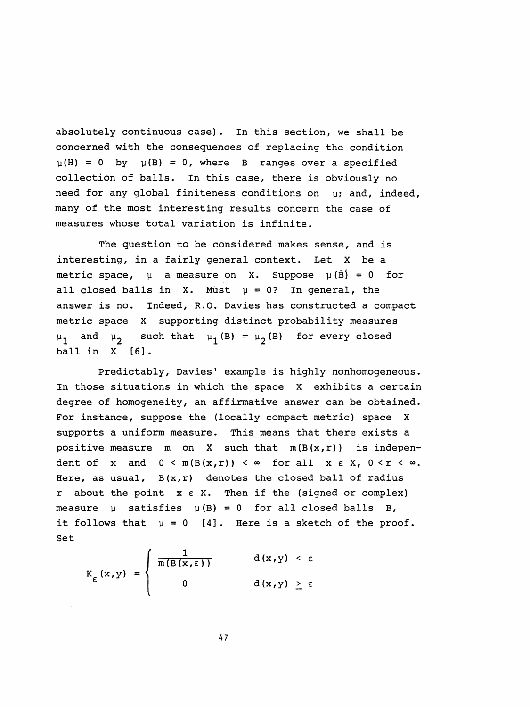absolutely continuous case) . In this section, we shall be concerned with the consequences of replacing the condition  $\mu(H) = 0$  by  $\mu(B) = 0$ , where B ranges over a specified collection of balls. In this case, there is obviously no need for any global finiteness conditions on  $\mu$ ; and, indeed, many of the most interesting results concern the case of measures whose total variation is infinite.

 The question to be considered makes sense, and is interesting, in a fairly general context. Let X be a metric space,  $\mu$  a measure on X. Suppose  $\mu(\tilde{B}) = 0$  for all closed balls in X. Must  $\mu = 0$ ? In general, the answer is no. Indeed, R.O. Davies has constructed a compact metric space X supporting distinct probability measures  $\mu_1$  and  $\mu_2$  such that  $\mu_1$  (B) =  $\mu_2$  (B) for every closed ball in X [6] .

 Predictably, Davies' example is highly nonhomogeneous . In those situations in which the space X exhibits a certain degree of homogeneity, an affirmative answer can be obtained. For instance, suppose the (locally compact metric) space X supports a uniform measure. This means that there exists a positive measure m on X such that  $m(B(x,r))$  is independent of x and  $0 < m(B(x,r)) < \infty$  for all  $x \in X$ ,  $0 < r < \infty$ . Here, as usual,  $B(x, r)$  denotes the closed ball of radius r about the point  $x \in X$ . Then if the (signed or complex) measure  $\mu$  satisfies  $\mu$ (B) = 0 for all closed balls B, it follows that  $\mu = 0$  [4]. Here is a sketch of the proof. Set

$$
K_{\varepsilon}(x,y) = \begin{cases} \frac{1}{m(B(x,\varepsilon))} & d(x,y) < \varepsilon \\ 0 & d(x,y) \geq \varepsilon \end{cases}
$$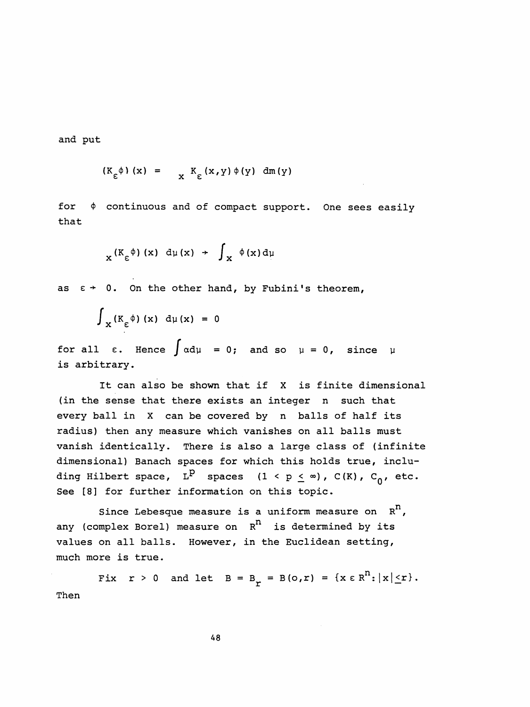and put

$$
(K_{\varepsilon} \phi) (x) = \chi K_{\varepsilon} (x, y) \phi (y) dm (y)
$$

for  $\phi$  continuous and of compact support. One sees easily that

$$
x^{(K_{\varepsilon} \phi)} (x) d\mu(x) + \int_{X} \phi(x) d\mu
$$

as  $\epsilon$  + 0. On the other hand, by Fubini's theorem,

$$
\int_{\mathbf{X}} (K_{\varepsilon} \phi) (\mathbf{x}) d\mu (\mathbf{x}) = 0
$$

for all  $\varepsilon$ . Hence  $\int \alpha d\mu = 0$ ; and so  $\mu = 0$ , since  $\mu$ is arbitrary.

It can also be shown that if  $X$  is finite dimensional (in the sense that there exists an integer n such that every ball in X can be covered by n balls of half its radius) then any measure which vanishes on all balls must vanish identically. There is also a large class of (infinite dimensional) Banach spaces for which this holds true, inclu ding Hilbert space,  $L^P$  spaces (1 < p  $\leq \infty$ ), C(K), C<sub>0</sub>, etc. See [8] for further information on this topic.

Since Lebesque measure is a uniform measure on  $R^n$ , any (complex Borel) measure on  $R^n$  is determined by its values on all balls. However, in the Euclidean setting, much more is true.

Fix  $r > 0$  and let  $B = B_r = B(o, r) = \{x \in R^n : |x| \le r\}.$ Then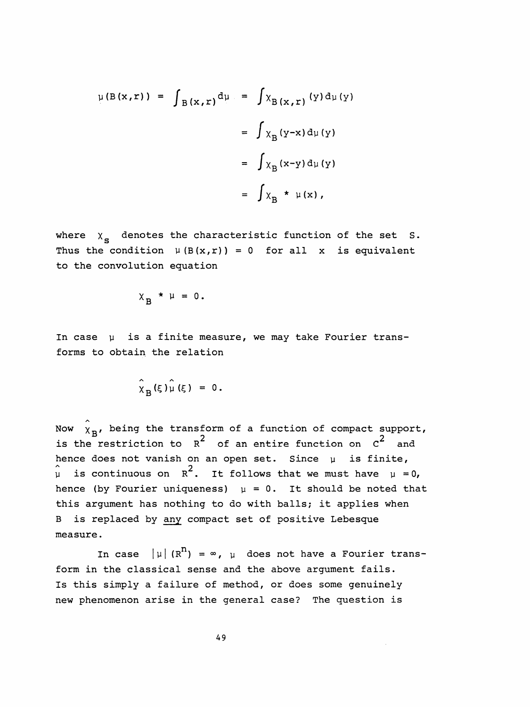$$
\mu(B(x,r)) = \int_{B(x,r)} d\mu = \int \chi_{B(x,r)}(y) d\mu(y)
$$

$$
= \int \chi_{B}(y-x) d\mu(y)
$$

$$
= \int \chi_{B}(x-y) d\mu(y)
$$

$$
= \int \chi_{B} * \mu(x),
$$

where  $x_{\bf s}$  denotes the characteristic function of the set  ${\bf s}.$ Thus the condition  $\mu(B(x,r)) = 0$  for all x is equivalent to the convolution equation

$$
X_{B} * \mu = 0.
$$

In case  $\mu$  is a finite measure, we may take Fourier transforms to obtain the relation

$$
\hat{\chi}_B(\xi)\hat{\mu}(\xi) = 0.
$$

Now  $\hat{\chi}_{\mathbf{B}}$ , being the transform of a function of compact support, is the restriction to  $R^2$  of an entire function on  $C^2$  and = 0.<br>form of a function of compact s<br><sup>2</sup> of an entire function on C<sup>2</sup><br>an open set. Since µ is fin hence does not vanish on an open set. Since  $\mu$  is finite,  $\mu$  is continuous on R<sup>2</sup>. It follows that we must have  $\mu = 0$ , hence (by Fourier uniqueness)  $\mu = 0$ . It should be noted that this argument has nothing to do with balls; it applies when B is replaced by any compact set of positive Lebesque measure .

In case  $|\mu| (R^n) = \infty$ ,  $\mu$  does not have a Fourier trans form in the classical sense and the above argument fails. Is this simply a failure of method, or does some genuinely new phenomenon arise in the general case? The question is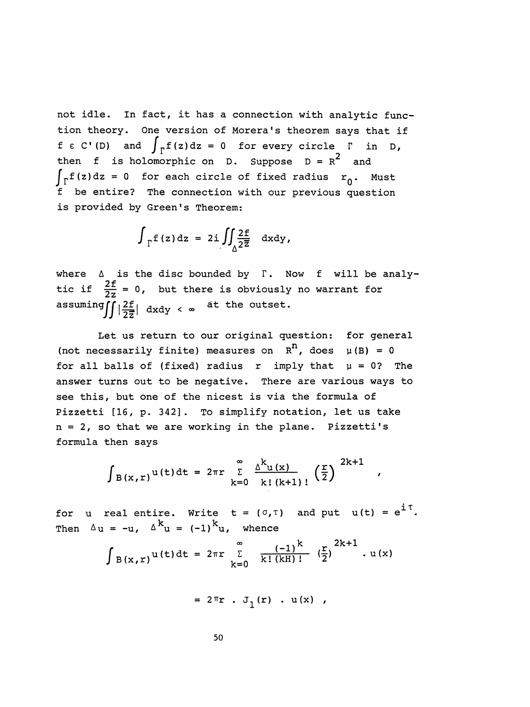not idle. In fact, it has a connection with analytic func tion theory. One version of Morera's theorem says that if  $f \in C'$  (D) and  $\int_{\Gamma} f(z) dz = 0$  for every circle  $\Gamma$  in D, then f is holomorphic on D. Suppose  $D = R^2$  and  $\int_{\Gamma} f(z) dz = 0$  for each circle of fixed radius  $r_0$ . Must f be entire? The connection with our previous question is provided by Green's Theorem:

$$
\int_{\Gamma} f(z) dz = 2i \iint_{\Delta} \frac{2f}{2\overline{z}} dxdy,
$$

where  $\Delta$  is the disc bounded by  $\Gamma$ . Now f will be analytic if  $\frac{2t}{2z} = 0$ , but there is obviously no warrant for assuming  $\iint \left|\frac{2f}{2\overline{z}}\right|$  dxdy <  $\infty$  at the outset.

 Let us return to our original question: for general (not necessarily finite) measures on  $R^n$ , does  $\mu(B) = 0$ for all balls of (fixed) radius r imply that  $\mu = 0$ ? The answer turns out to be negative. There are various ways to see this, but one of the nicest is via the formula of Pizzetti [16, p. 342]. To simplify notation, let us take  $n = 2$ , so that we are working in the plane. Pizzetti's formula then says

$$
\int_{B(x,r)} u(t) dt = 2\pi r \sum_{k=0}^{\infty} \frac{\Delta^{k} u(x)}{k! (k+1)!} \left(\frac{r}{2}\right)^{2k+1},
$$

for u real entire. Write  $t = (\sigma, \tau)$  and put  $u(t) = e^{1/t}$ Then  $\Delta u = -u$ ,  $\Delta^{k} u = (-1)^{k} u$ , whence

$$
\int B(x,r)^{u(t)} dt = 2\pi r \sum_{k=0}^{\infty} \frac{(-1)^k}{k! (kH)!} (\frac{r}{2})^{2k+1} u(x)
$$

$$
= 2\pi r \cdot J_1(r) \cdot u(x) ,
$$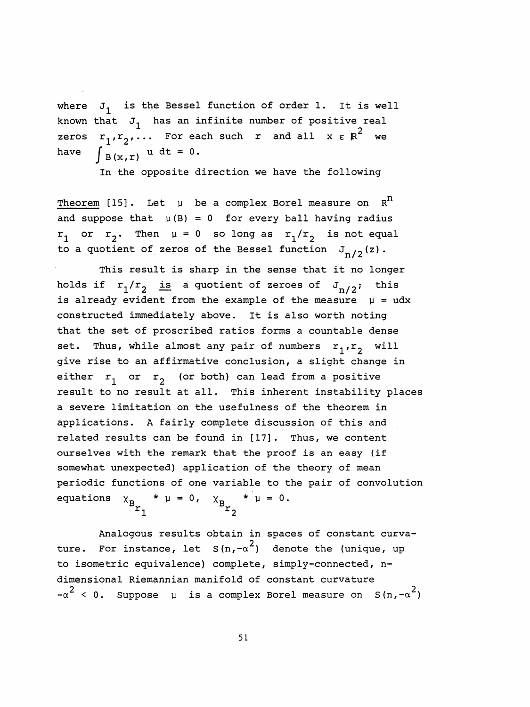where  $J_1$  is the Bessel function of order 1. It is well known that  $J_1$  has an infinite number of positive real zeros  $r_1, r_2, \ldots$  For each such r and all  $x \in \mathbb{R}^2$  we have  $\int B(x,r) u dt = 0$ .

In the opposite direction we have the following

Theorem [15]. Let  $\mu$  be a complex Borel measure on  $R<sup>n</sup>$ and suppose that  $\mu(B) = 0$  for every ball having radius  $r_1$  or  $r_2$ . Then  $\mu = 0$  so long as  $r_1/r_2$  is not equal to a quotient of zeros of the Bessel function  $J_{n/2}(z)$ .

 This result is sharp in the sense that it no longer holds if  $r_1/r_2$  is a quotient of zeroes of  $J_{n/2}$ ; this is already evident from the example of the measure  $\mu = u dx$  constructed immediately above. It is also worth noting that the set of proscribed ratios forms a countable dense set. Thus, while almost any pair of numbers  $r_1, r_2$  will give rise to an affirmative conclusion, a slight change in either  $r_1$  or  $r_2$  (or both) can lead from a positive result to no result at all. This inherent instability places a severe limitation on the usefulness of the theorem in applications. A fairly complete discussion of this and related results can be found in [17] . Thus, we content ourselves with the remark that the proof is an easy (if somewhat unexpected) application of the theory of mean periodic functions of one variable to the pair of convolution equations  $x_{B_{r_1}} * \mu = 0$ ,  $x_{B_{r_2}} * \mu = 0$ .

 Analogous results obtain in spaces of constant curva ture. For instance, let  $S(n, -\alpha^2)$  denote the (unique, up to isometric equivalence) complete, simply-connected, n dimensional Riemannian manifold of constant curvature  $-\alpha^2$  < 0. Suppose  $\mu$  is a complex Borel measure on S(n,- $\alpha^2$ ) rselves with the remark that the proof is an easy (if<br>mewhat unexpected) application of the theory of mean<br>riodic functions of one variable to the pair of convolutio<br>uations  $x_B * \mu = 0$ ,  $x_B * \mu = 0$ .<br>Analogous results obtai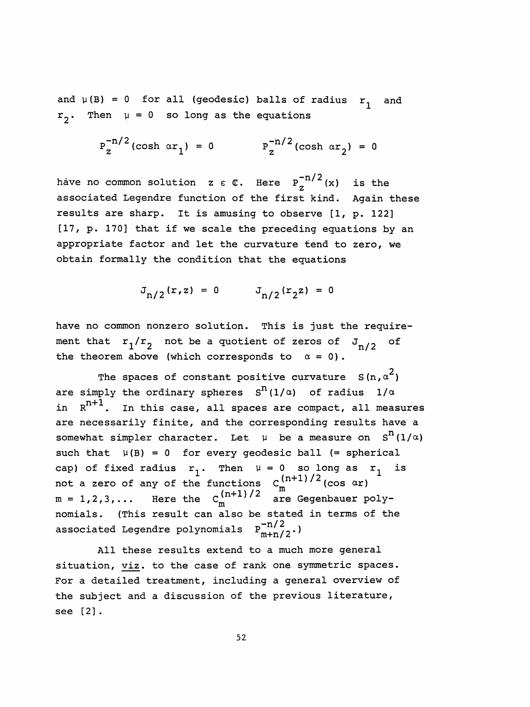and  $\mu(B) = 0$  for all (geodesic) balls of radius  $r_1$  and . Then  $\mu = 0$  so long as the equations

$$
p_{z}^{-n/2}(\cosh \alpha r_{1}) = 0 \qquad p_{z}^{-n/2}(\cosh \alpha r_{2}) = 0
$$

and  $\mu(B) = 0$  for all (geodesic) balls of radius  $r_1$  and<br>  $r_2$ . Then  $\mu = 0$  so long as the equations<br>  $p_2^{-n/2}(\cosh \alpha r_1) = 0$   $p_2^{-n/2}(\cosh \alpha r_2) = 0$ <br>
have no common solution  $z \in \mathbb{C}$ . Here  $p_2^{-n/2}(x)$  is the<br>
assoc associated Legendre function of the first kind. Again these results are sharp. It is amusing to observe [1, p. 122] [17, p. 170] that if we scale the preceding equations by an appropriate factor and let the curvature tend to zero, we obtain formally the condition that the equations

$$
J_{n/2}(r, z) = 0
$$
  $J_{n/2}(r_2 z) = 0$ 

 have no common nonzero solution. This is just the require ment that  $r_1/r_2$  not be a quotient of zeros of  $J_{n/2}$  of the theorem above (which corresponds to  $\alpha = 0$ ).

The spaces of constant positive curvature  $S(n,\alpha^2)$ are simply the ordinary spheres  $S^{n}(1/\alpha)$  of radius  $1/\alpha$ in  $R^{n+1}$ . In this case, all spaces are compact, all measures are necessarily finite, and the corresponding results have a somewhat simpler character. Let  $\mu$  be a measure on  $S^{n}(1/\alpha)$ such that  $\mu(B) = 0$  for every geodesic ball (= spherical cap) of fixed radius  $r^{-1}$ . Then  $\mu = 0$  so long as  $r^{-1}$  is not a zero of any of the functions  $C_m^{(n+1)/2}$  (cos  $\alpha r$ )  $m = 1, 2, 3, \ldots$  Here the  $C^{(n+1)/2}_{m}$  are Gegenbauer poly nomials. (This result can also be stated in terms of the associated Legendre polynomials  $P_{m+n/2}^{-n/2}$ .)

 All these results extend to a much more general situation, viz. to the case of rank one symmetric spaces. For a detailed treatment, including a general overview of the subject and a discussion of the previous literature, see [2] .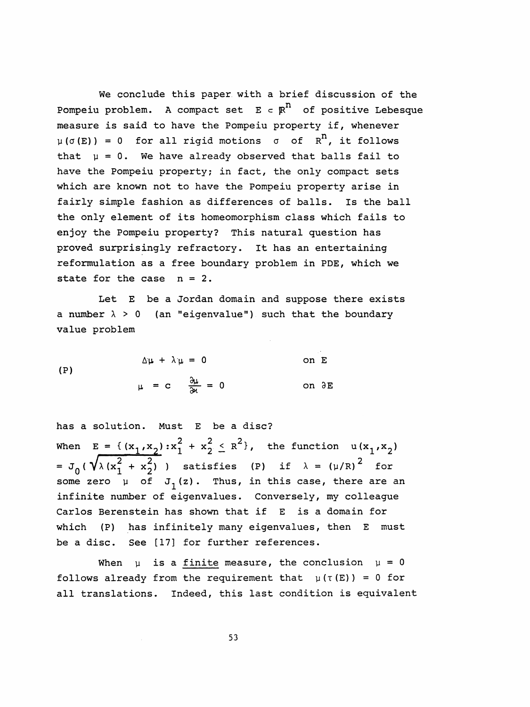We conclude this paper with a brief discussion of the Pompeiu problem. A compact set  $E \subset \mathbb{R}^n$  of positive Lebesque measure is said to have the Pompeiu property if, whenever  $\mu(\sigma(E)) = 0$  for all rigid motions  $\sigma$  of  $R^n$ , it follows that  $\mu = 0$ . We have already observed that balls fail to have the Pompeiu property; in fact, the only compact sets which are known not to have the Pompeiu property arise in fairly simple fashion as differences of balls. Is the ball the only element of its homeomorphism class which fails to enjoy the Pompeiu property? This natural question has proved surprisingly refractory. It has an entertaining reformulation as a free boundary problem in PDE, which we state for the case  $n = 2$ .

Let E be a Jordan domain and suppose there exists a number  $\lambda > 0$  (an "eigenvalue") such that the boundary value problem

 $\Delta \mu + \lambda \mu = 0$  on E (P)  $\mu = c$   $\frac{\partial \mu}{\partial \mu} = 0$  on  $\partial E$ 

 has a solution. Must E be a disc?  $2 + x^2 < R^2$ When  $E = \{(x_1, x_2) : x_1 + x_2 \le R^r\}$ , the function  $u(x_1, x_2)$ =  $J_0$  (  $\sqrt{\lambda (x_1^2 + x_2^2)}$  ) satisfies (P) if  $\lambda = (\mu/R)^2$  for some zero  $\bar{\mu}$  of  $J_1(z)$ . Thus, in this case, there are an infinite number of eigenvalues. Conversely, my colleague Carlos Berenstein has shown that if E is a domain for which (P) has infinitely many eigenvalues, then E must be a disc. See [17] for further references.

When  $\mu$  is a finite measure, the conclusion  $\mu = 0$ follows already from the requirement that  $\mu(\tau(E)) = 0$  for all translations. Indeed, this last condition is equivalent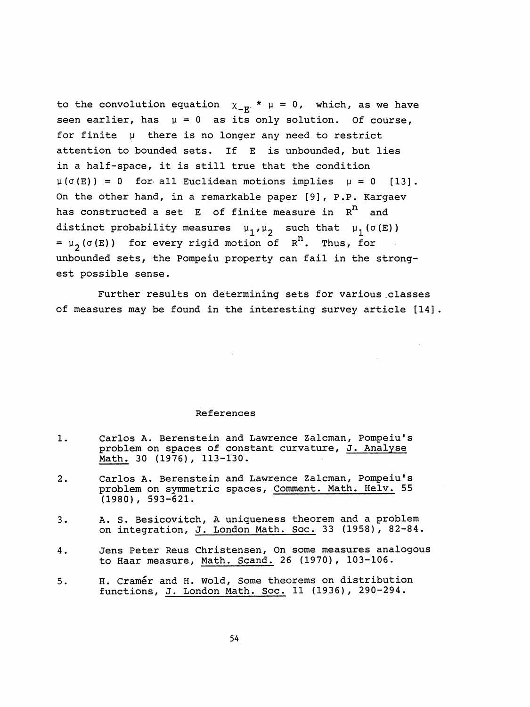to the convolution equation  $\chi_{-E}^*$  \*  $\mu = 0$ , which, as we have seen earlier, has  $\mu = 0$  as its only solution. Of course, for finite  $\mu$  there is no longer any need to restrict attention to bounded sets. If E is unbounded, but lies in a half-space, it is still true that the condition  $\mu(\sigma(E)) = 0$  for- all Euclidean motions implies  $\mu = 0$  [13]. On the other hand, in a remarkable paper [9] , P.P. Kargaev has constructed a set  $E$  of finite measure in  $R^n$  and distinct probability measures  $\mu_1, \mu_2$  such that  $\mu_1(\sigma(E))$ =  $\mu_2(\sigma(E))$  for every rigid motion of  $R^n$ . Thus, for unbounded sets, the Pompeiu property can fail in the strong est possible sense.

Further results on determining sets for various classes of measures may be found in the interesting survey article [14] .

## References

- 1. Carlos A. Berenstein and Lawrence Zalcman, Pompeiu' s problem on spaces of constant curvature, J. Analyse Math. 30 (1976), 113-130.
- 2. Carlos A. Berenstein and Lawrence Zalcman, Pompeiu' s problem on symmetric spaces, Comment. Math. Helv. 55 (1980), 593-621.
- 3. A. S. Besicovitch, A uniqueness theorem and a problem on integration, J. London Math. Soc. 33 (1958), 82-84.
- 4. Jens Peter Reus Christensen, On some measures analogous to Haar measure, Math. Scand. 26 (1970), 103-106.
- 5. H. Cramer and H. Wold, Some theorems on distribution functions, J. London Math. Soc. 11 (1936), 290-294.